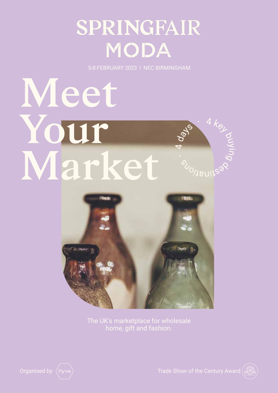# SPRINGFAIR **MODA**

5-8 FEBRUARY 2023 I NEC BIRMINGHAM

# **Meet Your**  Suikna **Market** 、<br>の<sub>19Ul</sub>la



The UK's marketplace for wholesale home, gift and fashion.



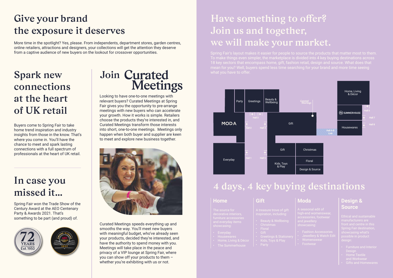### **Give your brand the exposure it deserves**

## **Have something to offer? Join us and together, we will make your market.**

### **Spark new connections at the heart of UK retail**

#### **In case you missed it…**

More time in the spotlight? Yes, please. From independents, department stores, garden centres, online retailers, attractions and designers, your collections will get the attention they deserve from a captive audience of new buyers on the lookout for crossover opportunities.

Buyers come to Spring Fair to take home trend inspiration and industry insights from those in the know. That's where you come in. You'll have the chance to meet and spark lasting connections with a full spectrum of professionals at the heart of UK retail.

Spring Fair won the Trade Show of the Century Award at the AEO Centenary Party & Awards 2021. That's something to be part (and proud) of.





## Join Curated **Meetings**

Looking to have one-to-one meetings with relevant buyers? Curated Meetings at Spring Fair gives you the opportunity to pre-arrange meetings with new buyers who can accelerate your growth. How it works is simple. Retailers choose the products they're interested in, and Curated Meetings transform those interests into short, one-to-one meetings. Meetings only happen when both buyer and supplier are keen to meet and explore new business together.



Curated Meetings speeds everything up and smooths the way. You'll meet new buyers with meaningful budget, who've already seen your products, decided they're interested, and have the authority to spend money with you. Meetings will take place in the peace and privacy of a VIP lounge at Spring Fair, where you can show off your products to them – whether you're exhibiting with us or not.

To make things even simpler, the marketplace is divided into 4 key buying destinations across 18 key sectors that encompass home, gift, fashion retail, design and source. What does that

#### **Design & Source**

- 
- and Workwea
- 

#### **Moda**

- 
- 
- 
- 

#### **Gift**

- 
- 
- 
- 
- 
- 

| <b>Home</b>           |  |
|-----------------------|--|
| The source for        |  |
| decorative interiors, |  |
| furniture accessories |  |
| and everyday items    |  |
| ahowaaaina'           |  |

- 
- 
- 
- The Summerhouse



#### **4 days, 4 key buying destinations**